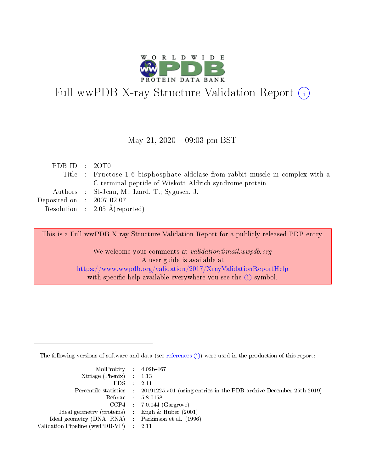

# Full wwPDB X-ray Structure Validation Report (i)

#### May 21,  $2020 - 09:03$  pm BST

| PDB ID : 2OT0               |                                                                                 |
|-----------------------------|---------------------------------------------------------------------------------|
|                             | Title : Fructose-1,6-bisphosphate aldolase from rabbit muscle in complex with a |
|                             | C-terminal peptide of Wiskott-Aldrich syndrome protein                          |
|                             | Authors : St-Jean, M.; Izard, T.; Sygusch, J.                                   |
| Deposited on : $2007-02-07$ |                                                                                 |
|                             | Resolution : $2.05 \text{ Å}$ (reported)                                        |
|                             |                                                                                 |

This is a Full wwPDB X-ray Structure Validation Report for a publicly released PDB entry.

We welcome your comments at validation@mail.wwpdb.org A user guide is available at <https://www.wwpdb.org/validation/2017/XrayValidationReportHelp> with specific help available everywhere you see the  $(i)$  symbol.

The following versions of software and data (see [references](https://www.wwpdb.org/validation/2017/XrayValidationReportHelp#references)  $(i)$ ) were used in the production of this report:

| $MolProbability$ 4.02b-467                          |                                                                                            |
|-----------------------------------------------------|--------------------------------------------------------------------------------------------|
| Xtriage (Phenix) $: 1.13$                           |                                                                                            |
| $EDS$ :                                             | -2.11                                                                                      |
|                                                     | Percentile statistics : 20191225.v01 (using entries in the PDB archive December 25th 2019) |
|                                                     | Refmac : 5.8.0158                                                                          |
|                                                     | $CCP4$ : 7.0.044 (Gargrove)                                                                |
| Ideal geometry (proteins) : Engh $\&$ Huber (2001)  |                                                                                            |
| Ideal geometry (DNA, RNA) : Parkinson et al. (1996) |                                                                                            |
| Validation Pipeline (wwPDB-VP)                      | -2.11                                                                                      |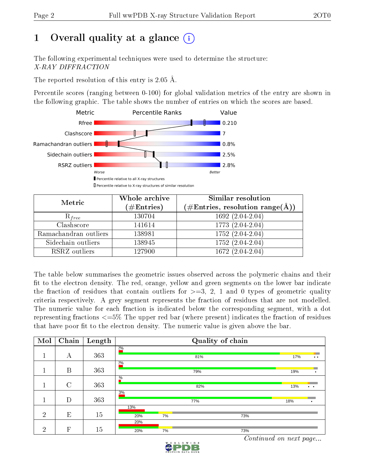## 1 [O](https://www.wwpdb.org/validation/2017/XrayValidationReportHelp#overall_quality)verall quality at a glance  $(i)$

The following experimental techniques were used to determine the structure: X-RAY DIFFRACTION

The reported resolution of this entry is 2.05 Å.

Percentile scores (ranging between 0-100) for global validation metrics of the entry are shown in the following graphic. The table shows the number of entries on which the scores are based.



| Metric                | Whole archive<br>$(\#\mathrm{Entries})$ | Similar resolution<br>$(\#\text{Entries}, \text{resolution range}(\textup{\AA}))$ |
|-----------------------|-----------------------------------------|-----------------------------------------------------------------------------------|
| $R_{free}$            | 130704                                  | $1692(2.04-2.04)$                                                                 |
| Clashscore            | 141614                                  | 1773 (2.04-2.04)                                                                  |
| Ramachandran outliers | 138981                                  | $1752(2.04-2.04)$                                                                 |
| Sidechain outliers    | 138945                                  | 1752 (2.04-2.04)                                                                  |
| RSRZ outliers         | 127900                                  | 1672 (2.04-2.04)                                                                  |

The table below summarises the geometric issues observed across the polymeric chains and their fit to the electron density. The red, orange, yellow and green segments on the lower bar indicate the fraction of residues that contain outliers for  $>=3, 2, 1$  and 0 types of geometric quality criteria respectively. A grey segment represents the fraction of residues that are not modelled. The numeric value for each fraction is indicated below the corresponding segment, with a dot representing fractions  $\epsilon=5\%$  The upper red bar (where present) indicates the fraction of residues that have poor fit to the electron density. The numeric value is given above the bar.

| Mol            | Chain          | Length |               |    | Quality of chain |     |                                                     |
|----------------|----------------|--------|---------------|----|------------------|-----|-----------------------------------------------------|
|                | А              | 363    | 20/6          |    | 81%              |     | 17%<br>$\bullet\hspace{0.4mm}\bullet\hspace{0.4mm}$ |
|                | B              | 363    | 20/0          |    | 79%              |     | 19%<br>٠                                            |
|                | $\overline{C}$ | 363    | $\frac{0}{6}$ |    | 82%              |     | 13%<br>$\cdot$ .                                    |
|                | D              | 363    | 3%            |    | 77%              |     | 18%                                                 |
| $\overline{2}$ | E              | 15     | 13%<br>20%    | 7% |                  | 73% |                                                     |
| $\overline{2}$ | F              | 15     | 20%<br>20%    | 7% |                  | 73% |                                                     |

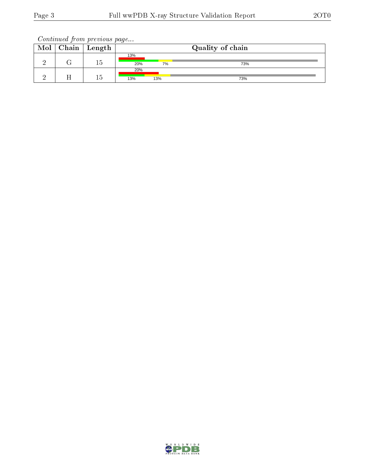| Mol | $\vert$ Chain   Length | Quality of chain |     |     |  |
|-----|------------------------|------------------|-----|-----|--|
|     | L 5                    | 13%<br>20%       | 7%  | 73% |  |
|     | Тb                     | 20%<br>13%       | 13% | 73% |  |

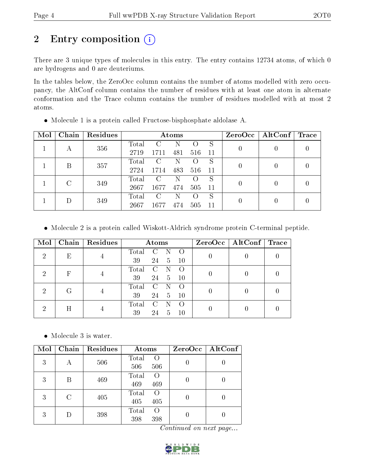# 2 Entry composition (i)

There are 3 unique types of molecules in this entry. The entry contains 12734 atoms, of which 0 are hydrogens and 0 are deuteriums.

In the tables below, the ZeroOcc column contains the number of atoms modelled with zero occupancy, the AltConf column contains the number of residues with at least one atom in alternate conformation and the Trace column contains the number of residues modelled with at most 2 atoms.

| Mol | Chain | Residues | Atoms |               |     |                    |     | $ZeroOcc \mid AltConf \mid$ | $\bf{Trace}$ |  |
|-----|-------|----------|-------|---------------|-----|--------------------|-----|-----------------------------|--------------|--|
|     |       | 356      | Total | C             | N   |                    | S   | 0                           |              |  |
|     | А     |          | 2719  | 1711          | 481 | 516                | 11  |                             |              |  |
|     | Β     | 357      | Total | C             | N   | $\left( \ \right)$ | S   | 0                           |              |  |
|     |       |          | 2724  | 1714          | 483 | 516                | -11 |                             |              |  |
|     | C     | 349      | Total | $\mathcal{C}$ | N   |                    | S   | 0                           |              |  |
|     |       |          | 2667  | 1677          | 474 | 505                | -11 |                             |              |  |
|     |       |          | Total | $\mathcal{C}$ | N   | $\left( \right)$   | S   | 0                           |              |  |
|     | 349   | 2667     | 1677  | 474           | 505 | 11                 |     |                             |              |  |

Molecule 1 is a protein called Fructose-bisphosphate aldolase A.

Molecule 2 is a protein called Wiskott-Aldrich syndrome protein C-terminal peptide.

| Mol        |       | Chain   Residues                | Atoms                             | $ZeroOcc \mid AltConf \mid Trace$ |  |
|------------|-------|---------------------------------|-----------------------------------|-----------------------------------|--|
| 2          | Ε     | $\pm$                           | Total<br>– C<br>39<br>24 5<br>-10 |                                   |  |
|            |       |                                 | Total<br>$\mathbf{C}$             |                                   |  |
| $_{\rm F}$ | $\pm$ | 39<br>24<br>10<br>$\frac{5}{2}$ |                                   |                                   |  |
| 2          |       | $\pm$                           | $\rm Total$<br>– C – N            |                                   |  |
|            |       |                                 | 39<br>24 5<br>10                  |                                   |  |
|            |       |                                 | Total<br>C                        |                                   |  |
|            |       |                                 | 39<br>24<br>h.                    |                                   |  |

• Molecule 3 is water.

| Mol | Chain | Residues | Atoms                     |  | $ZeroOcc \mid AltConf \mid$ |
|-----|-------|----------|---------------------------|--|-----------------------------|
| 3   | А     | 506      | Total<br>$\overline{O}$   |  | U                           |
|     |       |          | 506<br>506                |  |                             |
| 3   | В     | 469      | Total<br>$\Omega$         |  |                             |
|     |       |          | 469<br>469                |  |                             |
|     | C     | 405      | Total<br>O                |  |                             |
| 3   |       |          | 405<br>405                |  |                             |
|     |       |          | Total<br>$\left( \right)$ |  |                             |
| 3   |       | 398      | 398<br>398                |  |                             |

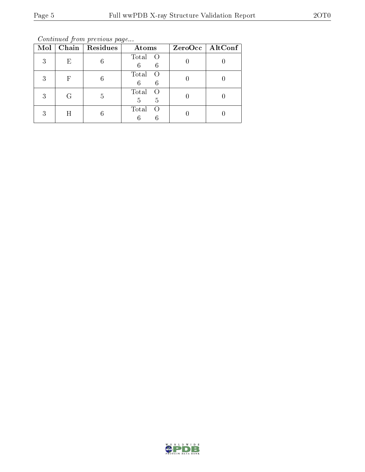Continued from previous page...

| Mol |   | Chain   Residues | Atoms                               | ZeroOcc   AltConf |
|-----|---|------------------|-------------------------------------|-------------------|
| 3   | E | 6                | Total<br>- O<br>6<br>6              |                   |
| 3   | F | 6                | Total<br>$\left($<br>6<br>6         |                   |
| 3   | G | 5                | Total<br>$\left( \right)$<br>5<br>5 |                   |
| 3   | H |                  | Total<br>$\left( \right)$           |                   |

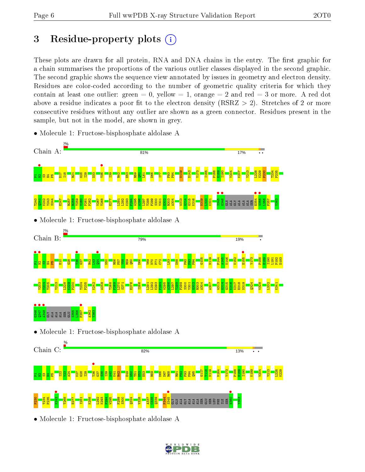## 3 Residue-property plots  $(i)$

These plots are drawn for all protein, RNA and DNA chains in the entry. The first graphic for a chain summarises the proportions of the various outlier classes displayed in the second graphic. The second graphic shows the sequence view annotated by issues in geometry and electron density. Residues are color-coded according to the number of geometric quality criteria for which they contain at least one outlier: green  $= 0$ , yellow  $= 1$ , orange  $= 2$  and red  $= 3$  or more. A red dot above a residue indicates a poor fit to the electron density (RSRZ  $> 2$ ). Stretches of 2 or more consecutive residues without any outlier are shown as a green connector. Residues present in the sample, but not in the model, are shown in grey.



• Molecule 1: Fructose-bisphosphate aldolase A

• Molecule 1: Fructose-bisphosphate aldolase A

 $\frac{80}{2}$ T234 P235 T268  $\frac{277}{2}$ I281 <mark>ଝ</mark>୍ର L292 K293  $\frac{64}{2}$ W295 F299 S300 Q324 V328  $\frac{123}{12}$  $\frac{38}{25}$ Q339 P344



ILE SER Y363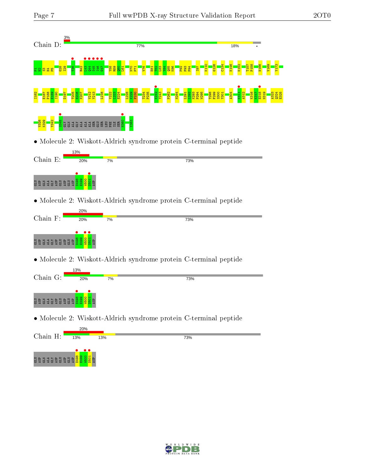

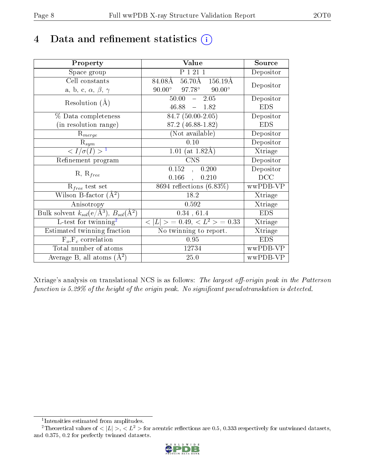## 4 Data and refinement statistics  $(i)$

| Property                                                   | Value                                             | Source     |
|------------------------------------------------------------|---------------------------------------------------|------------|
| Space group                                                | $P$ $\overline{1}$ $\overline{21}$ $\overline{1}$ | Depositor  |
| Cell constants                                             | 84.08Å 56.70Å 156.19Å                             | Depositor  |
| a, b, c, $\alpha$ , $\beta$ , $\gamma$                     | $90.00^{\circ}$ $97.78^{\circ}$<br>$90.00^\circ$  |            |
| Resolution $(A)$                                           | $-2.05$<br>50.00                                  | Depositor  |
|                                                            | $46.88 - 1.82$                                    | <b>EDS</b> |
| % Data completeness                                        | $84.7(50.00-2.05)$                                | Depositor  |
| (in resolution range)                                      | 87.2 (46.88-1.82)                                 | <b>EDS</b> |
| $R_{merge}$                                                | (Not available)                                   | Depositor  |
| $\mathrm{R}_{sym}$                                         | 0.10                                              | Depositor  |
| $\langle I/\sigma(I) \rangle^{-1}$                         | 1.01 (at $1.82\text{\AA}$ )                       | Xtriage    |
| Refinement program                                         | $\overline{\text{CNS}}$                           | Depositor  |
|                                                            | 0.152<br>0.200<br>$\ddot{\phantom{a}}$            | Depositor  |
| $R, R_{free}$                                              | 0.166<br>0.210<br>$\mathcal{A}^{\pm}$             | DCC        |
| $R_{free}$ test set                                        | $8694$ reflections $(6.83\%)$                     | wwPDB-VP   |
| Wilson B-factor $(A^2)$                                    | 18.2                                              | Xtriage    |
| Anisotropy                                                 | 0.592                                             | Xtriage    |
| Bulk solvent $k_{sol}$ (e/Å <sup>3</sup> ), $B_{sol}(A^2)$ | 0.34, 61.4                                        | <b>EDS</b> |
| L-test for $\mathrm{twinning}^2$                           | $< L >$ = 0.49, $< L2$ = 0.33                     | Xtriage    |
| Estimated twinning fraction                                | No twinning to report.                            | Xtriage    |
| $\overline{F_o}, \overline{F_c}$ correlation               | 0.95                                              | <b>EDS</b> |
| Total number of atoms                                      | 12734                                             | wwPDB-VP   |
| Average B, all atoms $(A^2)$                               | 25.0                                              | wwPDB-VP   |

Xtriage's analysis on translational NCS is as follows: The largest off-origin peak in the Patterson function is  $5.29\%$  of the height of the origin peak. No significant pseudotranslation is detected.

<sup>&</sup>lt;sup>2</sup>Theoretical values of  $\langle |L| \rangle$ ,  $\langle L^2 \rangle$  for acentric reflections are 0.5, 0.333 respectively for untwinned datasets, and 0.375, 0.2 for perfectly twinned datasets.



<span id="page-7-1"></span><span id="page-7-0"></span><sup>1</sup> Intensities estimated from amplitudes.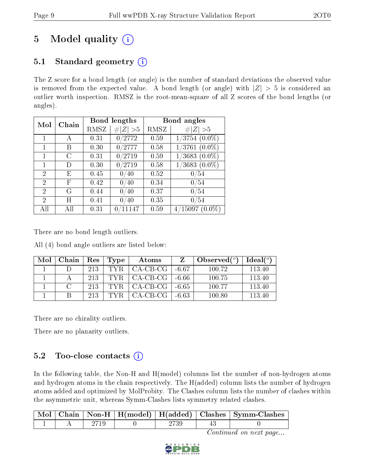# 5 Model quality  $(i)$

## 5.1 Standard geometry  $(i)$

The Z score for a bond length (or angle) is the number of standard deviations the observed value is removed from the expected value. A bond length (or angle) with  $|Z| > 5$  is considered an outlier worth inspection. RMSZ is the root-mean-square of all Z scores of the bond lengths (or angles).

| Mol                         | Chain |      | Bond lengths       | Bond angles |                      |  |
|-----------------------------|-------|------|--------------------|-------------|----------------------|--|
|                             |       | RMSZ | # <br> Z  > 5      | RMSZ        | # $ Z  > 5$          |  |
| 1                           | А     | 0.31 | 0/2772             | 0.59        | $1/3754$ $(0.0\%)$   |  |
| 1                           | В     | 0.30 | 0/2777             | 0.58        | $1/3761~(0.0\%)$     |  |
| 1                           | C     | 0.31 | 0/2719             | 0.59        | $1/3683$ $(0.0\%)$   |  |
| 1                           | D)    | 0.30 | 0/2719             | 0.58        | $1/3683$ $(0.0\%)$   |  |
| $\overline{2}$              | E     | 0.45 | $^{\prime}40$<br>0 | 0.52        | /54                  |  |
| $\overline{2}$              | F     | 0.42 | 0/40               | 0.34        | 0/54                 |  |
| 2                           | G     | 0.44 | /40<br>$\theta$ .  | 0.37        | 0/54                 |  |
| $\mathcal{D}_{\mathcal{A}}$ | H     | 0.41 | /40<br>0           | 0.35        | 0/54                 |  |
| All                         | ΑH    | 0.31 | 11147              | 0.59        | 4/15097<br>$(0.0\%)$ |  |

There are no bond length outliers.

All (4) bond angle outliers are listed below:

| Mol | Chain | Res | Type | Atoms      |         | Observed $(°)$ | $Ideal(^o)$ |
|-----|-------|-----|------|------------|---------|----------------|-------------|
|     |       | 213 | TYR. | CA-CB-CG   | $-6.67$ | 100.72         | 113.40      |
|     |       | 213 | TYR. | $CA-CB-CG$ | -6.66   | 100.75         | 113.40      |
|     |       | 213 | TYR. | $CA-CB-CG$ | -6.65   | 100.77         | 113.40      |
|     |       | 213 | TYR  | CA-CB-CG   | -6.63   | 100.80         | 113.40      |

There are no chirality outliers.

There are no planarity outliers.

## 5.2 Too-close contacts  $(i)$

In the following table, the Non-H and H(model) columns list the number of non-hydrogen atoms and hydrogen atoms in the chain respectively. The H(added) column lists the number of hydrogen atoms added and optimized by MolProbity. The Clashes column lists the number of clashes within the asymmetric unit, whereas Symm-Clashes lists symmetry related clashes.

| $\vert$ Mol $\vert$ |  |  | $\vert$ Chain $\vert$ Non-H $\vert$ H(model) $\vert$ H(added) $\vert$ Clashes $\vert$ Symm-Clashes |
|---------------------|--|--|----------------------------------------------------------------------------------------------------|
|                     |  |  |                                                                                                    |

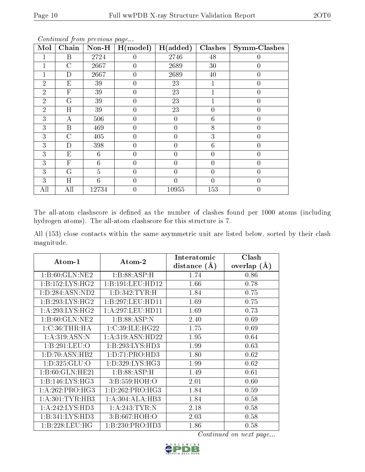| Mol            | $\boldsymbol{\omega}$<br>Chain | $\bf Non-H$    | H (model)      | H(added)       | Clashes        | <b>Symm-Clashes</b> |
|----------------|--------------------------------|----------------|----------------|----------------|----------------|---------------------|
|                | $\mathbf B$                    | 2724           | $\theta$       | 2746           | 48             |                     |
|                | $\mathcal{C}$                  | 2667           | $\overline{0}$ | 2689           | 30             | 0                   |
|                | D                              | 2667           | $\overline{0}$ | 2689           | 40             | 0                   |
| $\overline{2}$ | $E_{\rm}$                      | 39             | $\overline{0}$ | 23             |                | 0                   |
| $\overline{2}$ | $\overline{\mathrm{F}}$        | 39             | $\theta$       | 23             | 1              |                     |
| $\overline{2}$ | G                              | 39             | $\overline{0}$ | 23             | 1              | 0                   |
| $\overline{2}$ | H                              | 39             | $\overline{0}$ | 23             | $\overline{0}$ | $\overline{0}$      |
| 3              | А                              | 506            | $\overline{0}$ | $\theta$       | 6              | 0                   |
| 3              | $\mathbf B$                    | 469            | $\overline{0}$ | $\overline{0}$ | 8              | $\overline{0}$      |
| 3              | $\overline{C}$                 | 405            | $\theta$       | $\theta$       | 3              | $\overline{0}$      |
| 3              | D                              | 398            | $\theta$       | $\theta$       | 6              | 0                   |
| 3              | E                              | 6              | 0              | 0              | 0              | 0                   |
| 3              | $\mathbf{F}$                   | 6              | $\overline{0}$ | $\overline{0}$ | 0              | 0                   |
| 3              | G                              | $\overline{5}$ | $\overline{0}$ | $\overline{0}$ | $\overline{0}$ | 0                   |
| 3              | H                              | 6              | $\overline{0}$ | $\overline{0}$ | $\overline{0}$ | 0                   |
| All            | All                            | 12734          | $\overline{0}$ | 10955          | 153            |                     |

The all-atom clashscore is defined as the number of clashes found per 1000 atoms (including hydrogen atoms). The all-atom clashscore for this structure is 7.

All (153) close contacts within the same asymmetric unit are listed below, sorted by their clash magnitude.

|                     |                                       | Interatomic    | Clash         |
|---------------------|---------------------------------------|----------------|---------------|
| $Atom-1$            | $\boldsymbol{\mathrm{Atom}\text{-}2}$ | distance $(A)$ | overlap $(A)$ |
| 1:B:60:GLN:NE2      | 1:B:88:ASP:H                          | 1.74           | 0.86          |
| 1: B: 152: LYS: HG2 | 1:B:191:LEU:HD12                      | 1.66           | 0.78          |
| 1:D:284:ASN:ND2     | 1: D: 342: TYR:H                      | 1.84           | 0.75          |
| 1:B:293:LYS:HG2     | 1:B:297:LEU:HD11                      | 1.69           | 0.75          |
| 1: A:293: LYS:HG2   | 1:A:297:LEU:HD11                      | 1.69           | 0.73          |
| 1: B:60: GLN: NE2   | 1:B:88:ASP:N                          | 2.40           | 0.69          |
| $1:C:36$ : THR: HA  | 1:C:39:ILE:HG22                       | 1.75           | 0.69          |
| 1: A:319: ASN:N     | 1: A:319: ASN: HD22                   | 1.95           | 0.64          |
| 1:B:291:LEU:O       | 1:B:293:LYS:HD3                       | 1.99           | 0.63          |
| 1: D: 70: ASN: HB2  | 1: D: 71: PRO: HD3                    | 1.80           | 0.62          |
| 1: D: 325: GLU: O   | 1: D: 329: LYS: HG3                   | 1.99           | 0.62          |
| 1:B:60:GLN:HE21     | 1:B:88:ASP:H                          | 1.49           | 0.61          |
| 1: B: 146: LYS: HG3 | 3: B: 559: HOH: O                     | 2.01           | 0.60          |
| 1: A:262:PRO:HG3    | 1: D: 262: PRO: HG3                   | 1.84           | 0.59          |
| 1: A: 301: TYR: HB3 | 1:A:304:ALA:HB3                       | 1.84           | 0.58          |
| 1: A:242:LYS:HD3    | 1: A:243:TYR:N                        | 2.18           | 0.58          |
| 1:B:341:LYS:HD3     | 3:B:667:HOH:O                         | 2.03           | 0.58          |
| 1:B:228:LEU:HG      | 1:B:230:PRO:HD3                       | 1.86           | 0.58          |

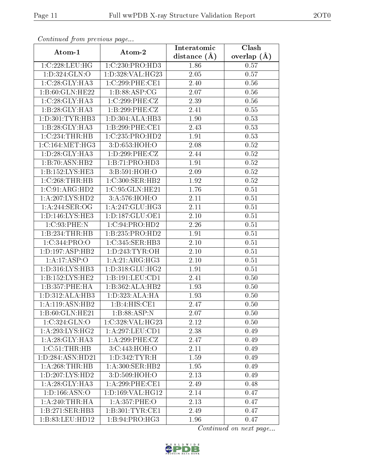| Continuea from previous page |                                     | Interatomic       | Clash         |
|------------------------------|-------------------------------------|-------------------|---------------|
| Atom-1                       | Atom-2                              | distance $(A)$    | overlap $(A)$ |
| 1:C:228:LEU:HG               | 1:C:230:PRO:HD3                     | 1.86              | 0.57          |
| 1:D:324:GLN:O                | 1:D:328:VAL:HG23                    | $\overline{2.05}$ | 0.57          |
| 1:C:28:GLY:HA3               | 1:C:299:PHE:CE1                     | 2.40              | 0.56          |
| 1:B:60:GLN:HE22              | 1: B:88: ASP:CG                     | 2.07              | 0.56          |
| 1:C:28:GLY:HA3               | 1:C:299:PHE:CZ                      | 2.39              | 0.56          |
| 1:B:28:GLY:HA3               | 1:B:299:PHE:CZ                      | 2.41              | 0.55          |
| 1: D:301: TYR:HB3            | 1:D:304:ALA:HB3                     | 1.90              | 0.53          |
| 1:B:28:GLY:HA3               | 1:B:299:PHE:CE1                     | 2.43              | 0.53          |
| 1:C:234:THR:HB               | 1:C:235:PRO:HD2                     | 1.91              | 0.53          |
| 1:C:164:MET:HG3              | 3:D:653:HOH:O                       | 2.08              | 0.52          |
| 1: D:28: GLY:HA3             | 1:D:299:PHE:CZ                      | 2.44              | 0.52          |
| 1:B:70:ASN:HB2               | 1:B:71:PRO:HD3                      | 1.91              | 0.52          |
| 1:B:152:LYS:HE3              | 3:B:591:HOH:O                       | 2.09              | $0.52\,$      |
| 1:C:268:THR:HB               | 1:C:300:SER:HB2                     | 1.92              | 0.52          |
| 1:C:91:ARG:HD2               | 1:C:95:GLN:HE21                     | 1.76              | 0.51          |
| 1:A:207:LYS:HD2              | 3:A:576:HOH:O                       | 2.11              | 0.51          |
| 1:A:244:SER:OG               | 1:A:247:GLU:HG3                     | 2.11              | 0.51          |
| 1:D:146:LYS:HE3              | 1: D: 187: GLU: OE1                 | 2.10              | 0.51          |
| $1:C:93:$ PHE:N              | 1:C:94:PRO:HD2                      | 2.26              | 0.51          |
| 1:B:234:THR:HB               | 1:B:235:PRO:H <sub>D2</sub>         | 1.91              | 0.51          |
| 1:C:344:PRO:O                | 1:C:345:SER:HB3                     | 2.10              | 0.51          |
| 1: D: 197: ASP: HB2          | 1: D: 243: TYR: OH                  | 2.10              | 0.51          |
| 1:A:17:ASP:O                 | 1:A:21:ARG:HG3                      | 2.10              | 0.51          |
| 1:D:316:LYS:HB3              | 1:D:318:GLU:HG2                     | 1.91              | 0.51          |
| 1:B:152:LYS:HE2              | 1:B:191:LEU:CD1                     | 2.41              | 0.50          |
| 1:B:357:PHE:HA               | $1:B:362:\overline{\text{ALA:HB2}}$ | 1.93              | 0.50          |
| 1: D: 312: ALA: HB3          | 1:D:323:ALA:HA                      | 1.93              | 0.50          |
| 1:A:119:ASN:HB2              | 1:B:4:HIS:CE1                       | 2.47              | 0.50          |
| 1:B:60:GLN:HE21              | 1:B:88:ASP:N                        | 2.07              | 0.50          |
| 1:C:324:GLN:O                | 1:C:328:VAL:HG23                    | 2.12              | 0.50          |
| 1: A:293: LYS: HG2           | 1: A:297:LEU:CD1                    | 2.38              | 0.49          |
| 1: A:28: GLY:HA3             | 1:A:299:PHE:CZ                      | 2.47              | 0.49          |
| 1:C:51:THR:HB                | 3:C:443:HOH:O                       | 2.11              | 0.49          |
| 1:D:284:ASN:HD21             | 1:D:342:TYR:H                       | 1.59              | 0.49          |
| 1:A:268:THR:HB               | 1: A:300: SER: HB2                  | 1.95              | 0.49          |
| 1: D: 207: LYS: HD2          | 3:D:509:HOH:O                       | 2.13              | 0.49          |
| 1:A:28:GLY:HA3               | 1:A:299:PHE:CE1                     | 2.49              | 0.48          |
| 1: D: 166: ASN:O             | 1:D:169:VAL:HG12                    | 2.14              | 0.47          |
| 1: A:240:THR:HA              | 1: A: 357: PHE: O                   | 2.13              | 0.47          |
| 1:B:271:SER:HB3              | 1:B:301:TYR:CE1                     | 2.49              | 0.47          |
| 1:B:83:LEU:HD12              | 1:B:94:PRO:HG3                      | 1.96              | 0.47          |

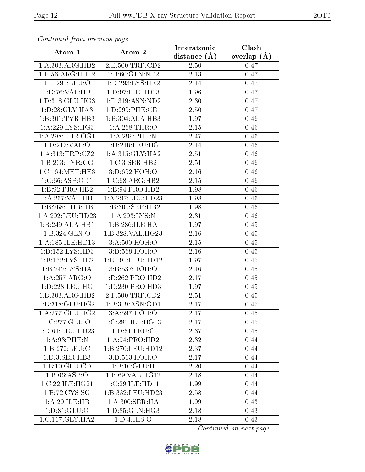| Continuea from previous page |                     | Interatomic       | Clash         |
|------------------------------|---------------------|-------------------|---------------|
| Atom-1                       | Atom-2              | distance $(A)$    | overlap $(A)$ |
| 1:A:303:ARG:HB2              | 2:E:500:TRP:CD2     | 2.50              | 0.47          |
| 1:B:56:ARG:HH12              | 1: B:60: GLN: NE2   | $\overline{2.13}$ | 0.47          |
| 1:D:291:LEU:O                | 1: D: 293: LYS: HE2 | 2.14              | 0.47          |
| 1:D:76:VAL:HB                | 1:D:97:ILE:HD13     | 1.96              | 0.47          |
| 1:D:318:GLU:HG3              | 1:D:319:ASN:ND2     | 2.30              | 0.47          |
| 1: D:28: GLY:HA3             | 1:D:299:PHE:CE1     | 2.50              | 0.47          |
| 1:B:301:TYR:HB3              | 1:B:304:ALA:HB3     | 1.97              | 0.46          |
| 1: A:229: LYS: HG3           | 1: A:268:THR:O      | 2.15              | 0.46          |
| 1: A:298:THR:OG1             | 1:A:299:PHE:N       | 2.47              | 0.46          |
| 1:D:212:VAL:O                | 1: D: 216: LEU: HG  | 2.14              | 0.46          |
| 1: A: 313: TRP: CZ2          | 1: A:315: GLY:HA2   | 2.51              | 0.46          |
| 1:B:203:TYR:CG               | 1:C:3:SER:HB2       | 2.51              | 0.46          |
| 1:C:164:MET:HE3              | 3:D:692:HOH:O       | 2.16              | 0.46          |
| 1:C:66:ASP:OD1               | 1:C:68:ARG:HB2      | 2.15              | 0.46          |
| 1:B:92:PRO:HB2               | 1:B:94:PRO:HD2      | 1.98              | 0.46          |
| 1:A:267:VAL:HB               | 1:A:297:LEU:HD23    | 1.98              | 0.46          |
| 1:B:268:THR:HB               | 1:B:300:SER:HB2     | 1.98              | 0.46          |
| 1:A:292:LEU:HD23             | 1:A:293:LYS:N       | 2.31              | 0.46          |
| 1:B:249:ALA:HBI              | 1:B:286:ILE:HA      | 1.97              | 0.45          |
| 1:B:324:GLN:O                | 1:B:328: VAL: HG23  | 2.16              | 0.45          |
| 1:A:185:ILE:HD13             | 3:A:500:HOH:O       | 2.15              | 0.45          |
| 1: D: 152: LYS: HD3          | 3:D:569:HOH:O       | 2.16              | 0.45          |
| 1:B:152:LYS:HE2              | 1:B:191:LEU:HD12    | 1.97              | 0.45          |
| 1:B:242:LYS:HA               | 3:B:537:HOH:O       | 2.16              | 0.45          |
| 1:A:257:ARG:O                | 1: D: 262: PRO: HD2 | 2.17              | 0.45          |
| 1:D:228:LEU:HG               | 1:D:230:PRO:HD3     | 1.97              | 0.45          |
| 1:B:303:ARG:HB2              | 2:F:500:TRP:CD2     | 2.51              | 0.45          |
| 1:B:318:GLU:HG2              | 1:B:319:ASN:OD1     | 2.17              | 0.45          |
| 1: A:277: GLU:HG2            | 3:A:597:HOH:O       | 2.17              | 0.45          |
| 1:C:277:GLU:O                | 1:C:281:ILE:HG13    | 2.17              | 0.45          |
| 1:D:61:LEU:HD23              | 1: D: 61: LEU: C    | 2.37              | 0.45          |
| 1: A.93: PHE:N               | 1:A:94:PRO:HD2      | 2.32              | 0.44          |
| 1: B: 270: LEU: C            | 1:B:270:LEU:HD12    | 2.37              | 0.44          |
| 1: D: 3: SER: HB3            | 3:D:563:HOH:O       | 2.17              | 0.44          |
| 1:B:10:GLU:CD                | 1:B:10:GLU:H        | 2.20              | 0.44          |
| 1:B:66:ASP:O                 | 1:B:69:VAL:HG12     | 2.18              | 0.44          |
| 1:C:22:ILE:HG21              | 1:C:29:ILE:HD11     | 1.99              | 0.44          |
| 1: B: 72: CYS: SG            | 1:B:332:LEU:HD23    | 2.58              | 0.44          |
| 1:A:29:ILE:HB                | 1: A:300: SER: HA   | 1.99              | 0.43          |
| 1: D:81: GLU:O               | 1:D:85:GLN:HG3      | 2.18              | 0.43          |
| 1:C:117:GLY:HA2              | 1:D:4:HIS:O         | 2.18              | 0.43          |

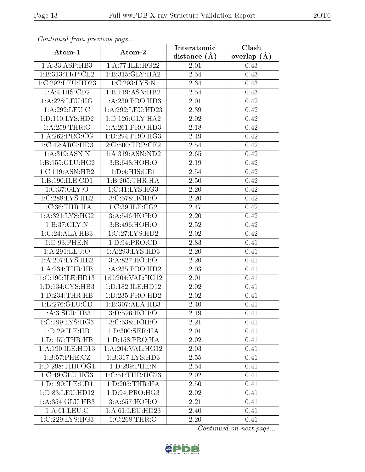| Continuea from previous page |                             | Interatomic    | Clash         |
|------------------------------|-----------------------------|----------------|---------------|
| Atom-1                       | Atom-2                      | distance $(A)$ | overlap $(A)$ |
| 1:A:33:ASP:HB3               | 1:A:77:ILE:HG22             | 2.01           | 0.43          |
| 1:B:313:TRP:CE2              | 1:B:315:GLY:HA2             | 2.54           | 0.43          |
| 1:C:292:LEU:HD23             | 1:C:293:LYS:N               | 2.34           | 0.43          |
| 1:A:4:HIS:CD2                | 1:B:119:ASN:HB2             | 2.54           | 0.43          |
| 1: A:228:LEU:HG              | 1: A:230: PRO:HD3           | 2.01           | 0.42          |
| 1:A:292:LEU:C                | 1:A:292:LEU:HD23            | 2.39           | 0.42          |
| 1: D: 110: LYS: HD2          | 1: D: 126: GLY: HA2         | $2.02\,$       | 0.42          |
| 1:A:259:THR:O                | 1: A:261:PRO:HD3            | 2.18           | 0.42          |
| 1:A:262:PRO:CG               | 1: D: 294: PRO: HG3         | 2.49           | 0.42          |
| 1:C:42:ARG:HD3               | 2:G:500:TRP:CE2             | 2.54           | 0.42          |
| 1:A:319:ASN:N                | 1: A:319: ASN: ND2          | 2.65           | 0.42          |
| 1: B: 155: GLU: HG2          | 3: B:648:HOH:O              | 2.19           | 0.42          |
| 1:C:119:ASN:HB2              | 1: D: 4: HIS: CE1           | 2.54           | 0.42          |
| 1:B:190:ILE:CD1              | $1:B:205:THR:\overline{HA}$ | 2.50           | 0.42          |
| 1:C:37:GLY:O                 | 1: C: 41: LYS: HG3          | 2.20           | 0.42          |
| 1:C:288:LYS:HE2              | 3:C:578:HOH:O               | 2.20           | 0.42          |
| 1:C:36:THR:HA                | 1:C:39:ILE:CG2              | 2.47           | 0.42          |
| 1: A:321: LYS:HG2            | 3:A:546:HOH:O               | 2.20           | 0.42          |
| 1:B:37:GLY:N                 | 3:B:496:HOH:O               | 2.52           | 0.42          |
| 1:C:24:ALA:HB3               | 1:C:27:LYS:HD2              | 2.02           | 0.42          |
| 1:D:93:PHE:N                 | 1: D:94: PRO:CD             | 2.83           | 0.41          |
| 1:A:291:LEU:O                | 1: A:293: LYS: HD3          | 2.20           | 0.41          |
| 1: A:207:LYS:HE2             | 3:A:827:HOH:O               | 2.20           | 0.41          |
| 1: A:234:THR:HB              | 1: A: 235: PRO: HD2         | 2.03           | 0.41          |
| 1:C:190:ILE:HD13             | 1:C:204:VAL:HG12            | 2.01           | 0.41          |
| 1: D: 134: CYS: HB3          | 1:D:182:ILE:HD12            | 2.02           | 0.41          |
| 1: D: 234: THR: HB           | 1:D:235:PRO:HD2             | 2.02           | 0.41          |
| 1:B:276:GLU:CD               | 1:B:307:ALA:HB3             | 2.40           | 0.41          |
| 1:A:3:SER:HB3                | 3:D:526:HOH:O               | 2.19           | 0.41          |
| 1:C:199:LYS:HG3              | 3: C: 538: HOH:O            | 2.21           | 0.41          |
| 1:D:29:ILE:HB                | 1: D:300: SER: HA           | 2.01           | 0.41          |
| 1: D: 157: THR: HB           | 1: D: 158: PRO: HA          | 2.02           | 0.41          |
| 1: A: 190: ILE: HD13         | $1:$ A:204:VAL:H $G12$      | 2.03           | 0.41          |
| 1:B:57:PHE:CZ                | 1:B:317:LYS:HD3             | 2.55           | 0.41          |
| 1: D: 298: THR: OG1          | 1:D:299:PHE:N               | 2.54           | 0.41          |
| 1:C:49:GLU:HG3               | 1:C:51:THR:HG23             | 2.02           | 0.41          |
| 1:D:190:ILE:CD1              | 1: D: 205: THR: HA          | 2.50           | 0.41          |
| 1:D:83:LEU:HD12              | 1:D:94:PRO:HG3              | 2.02           | 0.41          |
| 1:A:354:GLU:HB3              | 3:A:657:HOH:O               | 2.21           | 0.41          |
| 1: A:61:LEU:C                | 1: A:61: LEU: HD23          | 2.40           | 0.41          |
| 1:C:229:LYS:HG3              | 1:C:268:THR:O               | 2.20           | 0.41          |

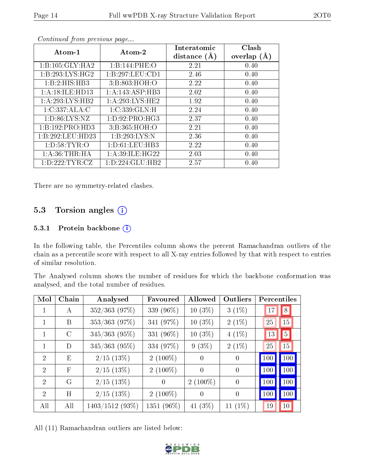| Atom-1             | Atom-2              | Interatomic<br>distance $(A)$ | Clash<br>overlap $(A)$ |
|--------------------|---------------------|-------------------------------|------------------------|
| 1:B:105:GLY:HA2    | 1:B:144:PHE:O       | 2.21                          | 0.40                   |
| 1: B:293: LYS: HG2 | 1:B:297:LEU:CD1     | 2.46                          | 0.40                   |
| 1:B:2:HIS:HB3      | 3:B:803:HOH:O       | 2.22                          | 0.40                   |
| 1:A:18:ILE:HD13    | 1:A:143:ASP:HB3     | 2.02                          | 0.40                   |
| 1:A:293:LYS:HB2    | 1: A:293:LYS:HE2    | 1.92                          | 0.40                   |
| 1:C:337:ALA:C      | 1:C:339:GLN:H       | 2.24                          | 0.40                   |
| 1: D:86: LYS: NZ   | 1: D: 92: PRO: HG3  | 2.37                          | 0.40                   |
| 1:B:192:PRO:HD3    | 3: B: 365: HOH:O    | 2.21                          | 0.40                   |
| 1:B:292:LEU:HD23   | 1:B:293:LYS:N       | 2.36                          | 0.40                   |
| 1: D:58: TYR:O     | 1: D: 61: LEU: HB3  | 2.22                          | 0.40                   |
| 1: A:36:THR:HA     | 1: A:39: ILE: HG22  | 2.03                          | 0.40                   |
| 1: D: 222: TYR: CZ | 1: D: 224: GLU: HB2 | 2.57                          | 0.40                   |

There are no symmetry-related clashes.

### 5.3 Torsion angles (i)

#### 5.3.1 Protein backbone (i)

In the following table, the Percentiles column shows the percent Ramachandran outliers of the chain as a percentile score with respect to all X-ray entries followed by that with respect to entries of similar resolution.

The Analysed column shows the number of residues for which the backbone conformation was analysed, and the total number of residues.

| Mol                         | Chain       | Analysed          | Favoured   | Allowed    | Outliers       | Percentiles |          |
|-----------------------------|-------------|-------------------|------------|------------|----------------|-------------|----------|
|                             | A           | $352/363$ (97%)   | 339 (96%)  | $10(3\%)$  | $3(1\%)$       | 17          | 8        |
|                             | B           | $353/363$ (97%)   | 341 (97%)  | $10(3\%)$  | $2(1\%)$       | 25          | 15       |
|                             | $\rm C$     | $345/363$ (95%)   | 331 (96%)  | $10(3\%)$  | $4(1\%)$       | 13          | $5\vert$ |
| 1                           | D           | $345/363$ (95%)   | 334 (97%)  | $9(3\%)$   | $2(1\%)$       | 25          | 15       |
| $\mathcal{D}_{\mathcal{A}}$ | E           | $2/15$ (13\%)     | $2(100\%)$ | $\Omega$   | $\Omega$       | 100         | 100      |
| $\mathcal{D}_{\mathcal{L}}$ | $\mathbf F$ | $2/15$ (13\%)     | $2(100\%)$ | $\theta$   | $\theta$       | 100         | 100      |
| $\mathcal{D}_{\mathcal{A}}$ | G           | $2/15$ (13\%)     | $\theta$   | $2(100\%)$ | $\overline{0}$ | 100         | 100      |
| $\mathcal{D}_{\mathcal{L}}$ | H           | $2/15$ (13%)      | $2(100\%)$ | $\Omega$   | $\theta$       | 100         | 100      |
| All                         | All         | $1403/1512(93\%)$ | 1351 (96%) | 41 $(3\%)$ | $11(1\%)$      | 19          | 10       |

All (11) Ramachandran outliers are listed below:

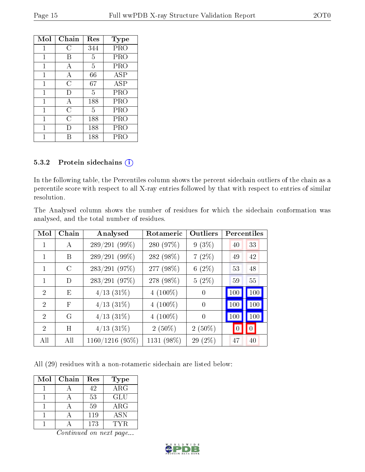| Mol | Chain          | Res | Type       |
|-----|----------------|-----|------------|
| 1   | C              | 344 | PRO        |
| 1   | В              | 5   | PRO        |
| 1   | А              | 5   | PRO        |
| 1   | А              | 66  | <b>ASP</b> |
| 1   | $\overline{C}$ | 67  | ASP        |
| 1   | I)             | 5   | PRO        |
| 1   | А              | 188 | PRO        |
| 1   | С              | 5   | <b>PRO</b> |
| 1   | C              | 188 | PRO        |
| 1   | Ð              | 188 | PRO        |
|     |                | 188 | PRO        |

#### 5.3.2 Protein sidechains (i)

In the following table, the Percentiles column shows the percent sidechain outliers of the chain as a percentile score with respect to all X-ray entries followed by that with respect to entries of similar resolution.

The Analysed column shows the number of residues for which the sidechain conformation was analysed, and the total number of residues.

| Mol                         | Chain         | Analysed        | Rotameric  | Outliers       | Percentiles     |
|-----------------------------|---------------|-----------------|------------|----------------|-----------------|
|                             | A             | 289/291 (99%)   | 280 (97%)  | $9(3\%)$       | 33<br>40        |
| $\mathbf{1}$                | B             | 289/291 (99%)   | 282 (98%)  | $7(2\%)$       | 42<br>49        |
| $\mathbf{1}$                | $\mathcal{C}$ | 283/291 (97%)   | 277 (98%)  | $6(2\%)$       | 48<br>53        |
| 1                           | D             | 283/291 (97%)   | 278 (98%)  | $5(2\%)$       | 55<br>59        |
| $\mathcal{D}$               | E             | $4/13$ $(31\%)$ | $4(100\%)$ | $\overline{0}$ | 100<br>100      |
| $\overline{2}$              | $_{\rm F}$    | $4/13$ $(31\%)$ | $4(100\%)$ | $\theta$       | 100<br>100      |
| $\mathcal{D}_{\mathcal{L}}$ | G             | $4/13$ $(31\%)$ | $4(100\%)$ | $\theta$       | 100<br>100      |
| $\mathcal{D}$               | H             | $4/13$ $(31\%)$ | $2(50\%)$  | $2(50\%)$      | $\vert 0 \vert$ |
| All                         | All           | 1160/1216(95%)  | 1131 (98%) | 29 (2%)        | 40<br>47        |

All (29) residues with a non-rotameric sidechain are listed below:

| Mol | Chain | Res | <b>Type</b> |
|-----|-------|-----|-------------|
|     |       | 42  | $\rm{ARG}$  |
|     |       | 53  | GLU         |
|     |       | 59  | $\rm{ARG}$  |
|     |       | 119 | <b>ASN</b>  |
|     |       | 173 | TYR         |

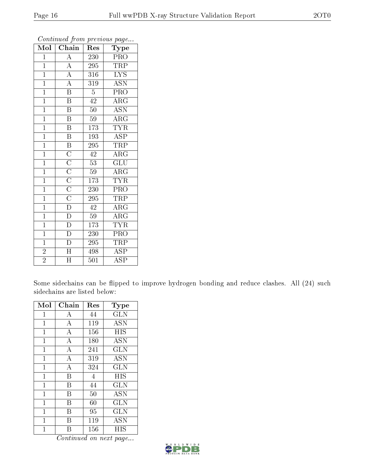| Mol            | Chain                                                                                                                               | Res              | Type                      |
|----------------|-------------------------------------------------------------------------------------------------------------------------------------|------------------|---------------------------|
| $\mathbf 1$    |                                                                                                                                     | 230              | PRO                       |
| $\mathbf{1}$   | $\frac{\overline{A}}{\overline{A}}$ $\frac{\overline{A}}{\overline{A}}$ $\frac{\overline{A}}{\overline{B}}$                         | 295              | <b>TRP</b>                |
| $\overline{1}$ |                                                                                                                                     | 316              | $\overline{\text{LYS}}$   |
| $\mathbf{1}$   |                                                                                                                                     | 319              | $\overline{\text{ASN}}$   |
| $\overline{1}$ |                                                                                                                                     | $\overline{5}$   | $\overline{\mathrm{PRO}}$ |
| $\overline{1}$ | $\overline{B}$                                                                                                                      | 42               | $\overline{\rm{ARG}}$     |
| $\overline{1}$ | $\overline{\mathrm{B}}$                                                                                                             | 50               | $\overline{\mathrm{ASN}}$ |
| $\overline{1}$ | $\overline{\mathbf{B}}$                                                                                                             | 59               | $\overline{\rm{ARG}}$     |
| $\overline{1}$ | $\overline{\mathrm{B}}$                                                                                                             | 173              | <b>TYR</b>                |
| $\mathbf{1}$   | $\overline{\mathrm{B}}$                                                                                                             | 193              | $\overline{\text{ASP}}$   |
| $\mathbf{1}$   | $\overline{B}$                                                                                                                      | 295              | <b>TRP</b>                |
| $\overline{1}$ | $\overline{\text{C}}$ $\overline{\text{C}}$ $\overline{\text{C}}$ $\overline{\text{C}}$ $\overline{\text{C}}$ $\overline{\text{C}}$ | $\overline{42}$  | $\overline{\rm{ARG}}$     |
| $\mathbf{1}$   |                                                                                                                                     | 53               | $\overline{\text{GLU}}$   |
| $\mathbf{1}$   |                                                                                                                                     | $59\,$           | $\overline{\rm{ARG}}$     |
| $\mathbf{1}$   |                                                                                                                                     | 173              | <b>TYR</b>                |
| $\mathbf{1}$   |                                                                                                                                     | 230              | PRO                       |
| $\overline{1}$ |                                                                                                                                     | $\overline{295}$ | <b>TRP</b>                |
| $\overline{1}$ | $\overline{D}$                                                                                                                      | 42               | $\overline{\rm{ARG}}$     |
| $\mathbf{1}$   | $\overline{\rm D}$                                                                                                                  | 59               | $\overline{\rm{ARG}}$     |
| $\overline{1}$ | $\overline{D}$                                                                                                                      | 173              | <b>TYR</b>                |
| $\mathbf{1}$   | $\overline{\rm D}$                                                                                                                  | 230              | PRO                       |
| $\overline{1}$ | $\overline{\rm D}$                                                                                                                  | 295              | <b>TRP</b>                |
| $\overline{2}$ | $\overline{\rm H}$                                                                                                                  | 498              | <b>ASP</b>                |
| $\overline{2}$ | $\overline{\rm H}$                                                                                                                  | 501              | $\overline{\text{ASP}}$   |

Some sidechains can be flipped to improve hydrogen bonding and reduce clashes. All (24) such sidechains are listed below:

| Mol          | Chain          | Res            | Type                      |
|--------------|----------------|----------------|---------------------------|
| $\mathbf{1}$ | А              | 44             | <b>GLN</b>                |
| $\mathbf 1$  | $\bf{A}$       | 119            | <b>ASN</b>                |
| $\mathbf{1}$ | A              | 156            | HIS                       |
| $\mathbf{1}$ | $\overline{A}$ | 180            | ĀSN                       |
| $\mathbf{1}$ | А              | 241            | GLN                       |
| $\mathbf{1}$ | $\overline{A}$ | 319            | ĀSN                       |
| $\mathbf{1}$ | А              | 324            | <b>GLN</b>                |
| $\mathbf{1}$ | B              | $\overline{4}$ | HIS                       |
| $\mathbf 1$  | B              | 44             | <b>GLN</b>                |
| $\mathbf 1$  | B              | 50             | $\overline{\mathrm{ASN}}$ |
| $\mathbf 1$  | Β              | 60             | <b>GLN</b>                |
| $\mathbf 1$  | Β              | 95             | GLN                       |
| 1            | Β              | 119            | <b>ASN</b>                |
| 1            | R              | 156            | HIS                       |

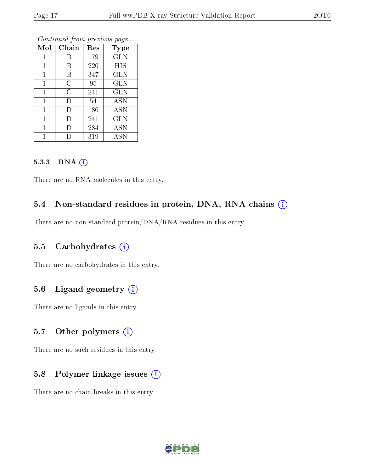| Mol          | v<br>Chain     | ×.<br>Res | <b>Type</b> |
|--------------|----------------|-----------|-------------|
| $\mathbf{1}$ | В              | 179       | <b>GLN</b>  |
| 1            | В              | 220       | <b>HIS</b>  |
| $\mathbf 1$  | В              | 347       | <b>GLN</b>  |
| $\mathbf{1}$ | С              | 95        | GLN         |
| 1            | $\overline{C}$ | 241       | <b>GLN</b>  |
| $\mathbf{1}$ | I)             | 54        | <b>ASN</b>  |
| $\mathbf{1}$ | D              | 180       | ASN         |
| 1            | Ð              | 241       | <b>GLN</b>  |
| $\mathbf{1}$ | D              | 284       | <b>ASN</b>  |
|              |                | 319       | ASN         |

#### 5.3.3 RNA [O](https://www.wwpdb.org/validation/2017/XrayValidationReportHelp#rna)i

There are no RNA molecules in this entry.

### 5.4 Non-standard residues in protein, DNA, RNA chains (i)

There are no non-standard protein/DNA/RNA residues in this entry.

#### 5.5 Carbohydrates  $(i)$

There are no carbohydrates in this entry.

### 5.6 Ligand geometry  $(i)$

There are no ligands in this entry.

#### 5.7 [O](https://www.wwpdb.org/validation/2017/XrayValidationReportHelp#nonstandard_residues_and_ligands)ther polymers (i)

There are no such residues in this entry.

#### 5.8 Polymer linkage issues  $(i)$

There are no chain breaks in this entry.

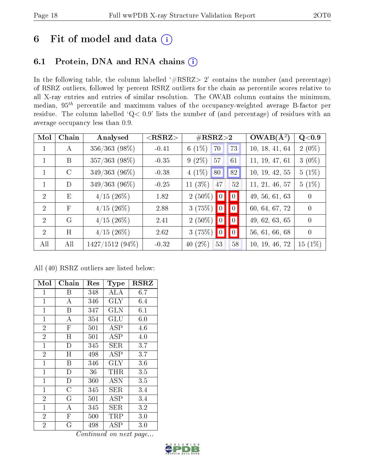## 6 Fit of model and data  $(i)$

## 6.1 Protein, DNA and RNA chains  $(i)$

In the following table, the column labelled  $#RSRZ> 2'$  contains the number (and percentage) of RSRZ outliers, followed by percent RSRZ outliers for the chain as percentile scores relative to all X-ray entries and entries of similar resolution. The OWAB column contains the minimum, median,  $95<sup>th</sup>$  percentile and maximum values of the occupancy-weighted average B-factor per residue. The column labelled ' $Q< 0.9$ ' lists the number of (and percentage) of residues with an average occupancy less than 0.9.

| Mol            | Chain        | Analysed        | ${ <\hspace{-1.5pt}{\mathrm{RSRZ}} \hspace{-1.5pt}>}$ | $\#\text{RSRZ}{>}2$                                       | $OWAB(A^2)$    | Q <sub>0.9</sub> |
|----------------|--------------|-----------------|-------------------------------------------------------|-----------------------------------------------------------|----------------|------------------|
| 1              | A            | $356/363$ (98%) | $-0.41$                                               | $6(1\%)$<br>70<br>73                                      | 10, 18, 41, 64 | $2(0\%)$         |
|                | B            | $357/363$ (98%) | $-0.35$                                               | $9(2\%)$<br>57<br>61                                      | 11, 19, 47, 61 | $3(0\%)$         |
|                | $\rm C$      | $349/363$ (96%) | $-0.38$                                               | 82 <br>$4(1\%)$<br>80                                     | 10, 19, 42, 55 | $5(1\%)$         |
|                | D            | $349/363$ (96%) | $-0.25$                                               | 11 $(3%)$<br>52<br>47                                     | 11, 21, 46, 57 | $5(1\%)$         |
| 2              | E            | $4/15$ (26\%)   | 1.82                                                  | $2(50\%)$<br>$\vert\vert 0 \vert$<br>$\vert\vert 0 \vert$ | 49, 56, 61, 63 | $\overline{0}$   |
| $\mathcal{D}$  | $\mathbf{F}$ | $4/15$ (26\%)   | 2.88                                                  | $3(75%)$ 0<br>$\vert 0 \vert$                             | 60, 64, 67, 72 | $\overline{0}$   |
| $\mathcal{D}$  | G            | $4/15$ (26\%)   | 2.41                                                  | $2(50\%)$ 0<br>$\blacksquare$                             | 49, 62, 63, 65 | $\theta$         |
| $\overline{2}$ | H            | $4/15$ (26%)    | 2.62                                                  | $3(75\%)$ 0<br>$\vert 0 \vert$                            | 56, 61, 66, 68 | $\theta$         |
| All            | All          | 1427/1512 (94%) | $-0.32$                                               | 40 $(2\%)$<br>$58\,$<br>53                                | 10, 19, 46, 72 | $15(1\%)$        |

All (40) RSRZ outliers are listed below:

| Mol            | Chain                   | Res                     | <b>Type</b>  | $_{\rm RSRZ}$ |
|----------------|-------------------------|-------------------------|--------------|---------------|
| $\mathbf 1$    | Β                       | 348                     | ALA          | 6.7           |
| $\mathbf{1}$   | $\bf{A}$                | 346                     | <b>GLY</b>   | 6.4           |
| $\mathbf{1}$   | B                       | 347                     | $_{\rm GLN}$ | 6.1           |
| $\mathbf{1}$   | $\boldsymbol{A}$        | 354                     | GLU          | 6.0           |
| $\overline{2}$ | $\mathbf{F}$            | 501                     | <b>ASP</b>   | 4.6           |
| $\overline{2}$ | H                       | 501                     | ASP          | 4.0           |
| $\overline{1}$ | $\overline{D}$          | 345                     | ${\rm SER}$  | 3.7           |
| $\overline{2}$ | H                       | 498                     | <b>ASP</b>   | 3.7           |
| $\mathbf{1}$   | Β                       | 346                     | <b>GLY</b>   | 3.6           |
| $\mathbf{1}$   | $\mathbf{D}$            | 36                      | THR          | 3.5           |
| $\mathbf{1}$   | $\mathbf{D}$            | 360                     | ASN          | 3.5           |
| $\mathbf{1}$   | $\overline{\rm C}$      | 345                     | SER          | 3.4           |
| $\overline{2}$ | $\overline{G}$          | 501                     | ASP          | 3.4           |
| $\mathbf{1}$   | $\bf{A}$                | 345                     | <b>SER</b>   | 3.2           |
| $\overline{2}$ | $\overline{\mathrm{F}}$ | 500                     | TRP          | 3.0           |
| $\overline{2}$ | $\overline{G}$          | 498<br>$C$ and in us of | ${\rm ASP}$  | $3.0\,$       |